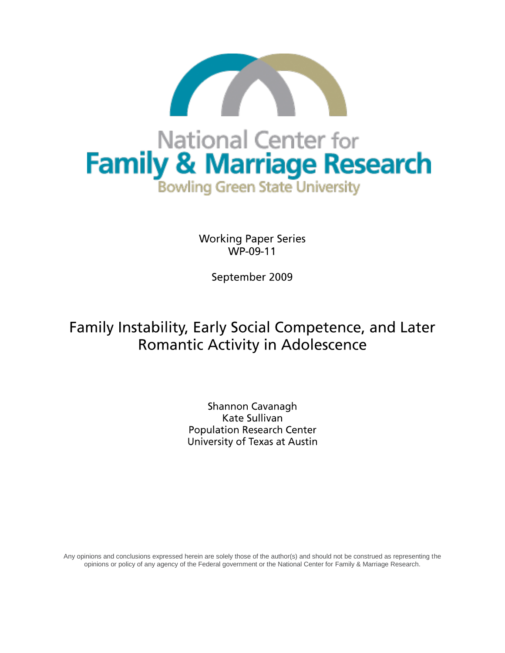

**Working Paper Series** WP-09-11

September 2009

# Family Instability, Early Social Competence, and Later **Romantic Activity in Adolescence**

Shannon Cavanagh Kate Sullivan **Population Research Center** University of Texas at Austin

Any opinions and conclusions expressed herein are solely those of the author(s) and should not be construed as representing the opinions or policy of any agency of the Federal government or the National Center for Family & Marriage Research.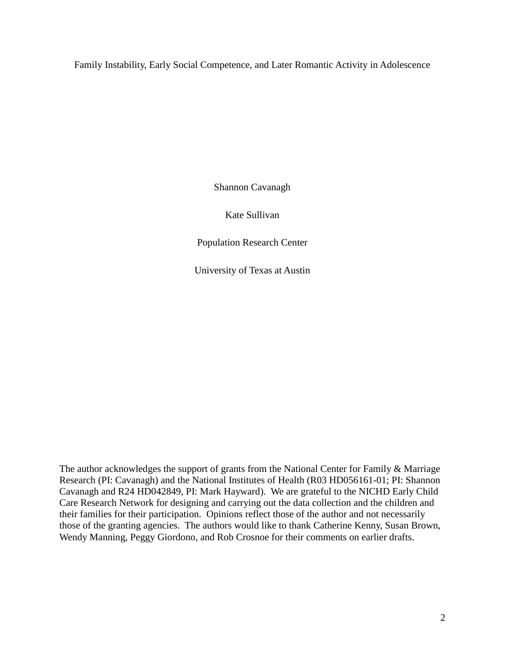Family Instability, Early Social Competence, and Later Romantic Activity in Adolescence

Shannon Cavanagh

Kate Sullivan

Population Research Center

University of Texas at Austin

The author acknowledges the support of grants from the National Center for Family & Marriage Research (PI: Cavanagh) and the National Institutes of Health (R03 HD056161-01; PI: Shannon Cavanagh and R24 HD042849, PI: Mark Hayward). We are grateful to the NICHD Early Child Care Research Network for designing and carrying out the data collection and the children and their families for their participation. Opinions reflect those of the author and not necessarily those of the granting agencies. The authors would like to thank Catherine Kenny, Susan Brown, Wendy Manning, Peggy Giordono, and Rob Crosnoe for their comments on earlier drafts.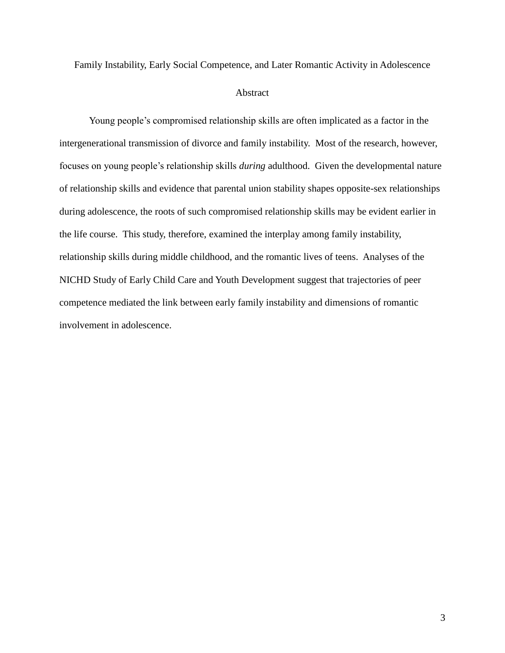Family Instability, Early Social Competence, and Later Romantic Activity in Adolescence

## Abstract

Young people's compromised relationship skills are often implicated as a factor in the intergenerational transmission of divorce and family instability. Most of the research, however, focuses on young people's relationship skills *during* adulthood. Given the developmental nature of relationship skills and evidence that parental union stability shapes opposite-sex relationships during adolescence, the roots of such compromised relationship skills may be evident earlier in the life course. This study, therefore, examined the interplay among family instability, relationship skills during middle childhood, and the romantic lives of teens. Analyses of the NICHD Study of Early Child Care and Youth Development suggest that trajectories of peer competence mediated the link between early family instability and dimensions of romantic involvement in adolescence.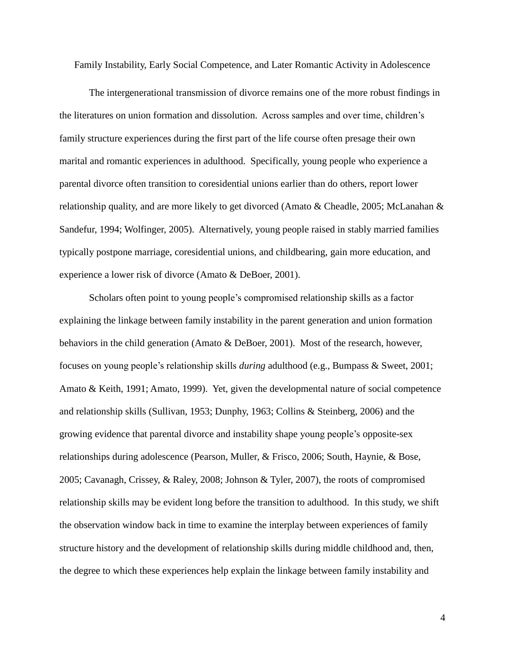Family Instability, Early Social Competence, and Later Romantic Activity in Adolescence

The intergenerational transmission of divorce remains one of the more robust findings in the literatures on union formation and dissolution. Across samples and over time, children's family structure experiences during the first part of the life course often presage their own marital and romantic experiences in adulthood. Specifically, young people who experience a parental divorce often transition to coresidential unions earlier than do others, report lower relationship quality, and are more likely to get divorced (Amato & Cheadle, 2005; McLanahan & Sandefur, 1994; Wolfinger, 2005). Alternatively, young people raised in stably married families typically postpone marriage, coresidential unions, and childbearing, gain more education, and experience a lower risk of divorce (Amato & DeBoer, 2001).

Scholars often point to young people's compromised relationship skills as a factor explaining the linkage between family instability in the parent generation and union formation behaviors in the child generation (Amato & DeBoer, 2001). Most of the research, however, focuses on young people's relationship skills *during* adulthood (e.g., Bumpass & Sweet, 2001; Amato & Keith, 1991; Amato, 1999). Yet, given the developmental nature of social competence and relationship skills (Sullivan, 1953; Dunphy, 1963; Collins & Steinberg, 2006) and the growing evidence that parental divorce and instability shape young people's opposite-sex relationships during adolescence (Pearson, Muller, & Frisco, 2006; South, Haynie, & Bose, 2005; Cavanagh, Crissey, & Raley, 2008; Johnson & Tyler, 2007), the roots of compromised relationship skills may be evident long before the transition to adulthood. In this study, we shift the observation window back in time to examine the interplay between experiences of family structure history and the development of relationship skills during middle childhood and, then, the degree to which these experiences help explain the linkage between family instability and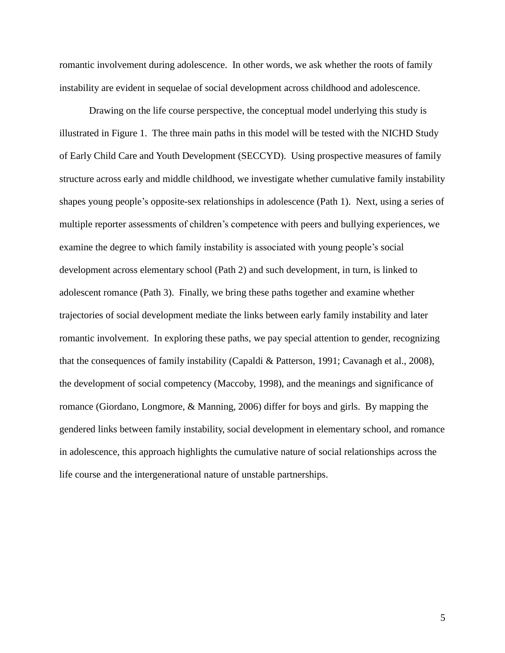romantic involvement during adolescence. In other words, we ask whether the roots of family instability are evident in sequelae of social development across childhood and adolescence.

Drawing on the life course perspective, the conceptual model underlying this study is illustrated in Figure 1. The three main paths in this model will be tested with the NICHD Study of Early Child Care and Youth Development (SECCYD). Using prospective measures of family structure across early and middle childhood, we investigate whether cumulative family instability shapes young people's opposite-sex relationships in adolescence (Path 1). Next, using a series of multiple reporter assessments of children's competence with peers and bullying experiences, we examine the degree to which family instability is associated with young people's social development across elementary school (Path 2) and such development, in turn, is linked to adolescent romance (Path 3). Finally, we bring these paths together and examine whether trajectories of social development mediate the links between early family instability and later romantic involvement. In exploring these paths, we pay special attention to gender, recognizing that the consequences of family instability (Capaldi & Patterson, 1991; Cavanagh et al., 2008), the development of social competency (Maccoby, 1998), and the meanings and significance of romance (Giordano, Longmore, & Manning, 2006) differ for boys and girls. By mapping the gendered links between family instability, social development in elementary school, and romance in adolescence, this approach highlights the cumulative nature of social relationships across the life course and the intergenerational nature of unstable partnerships.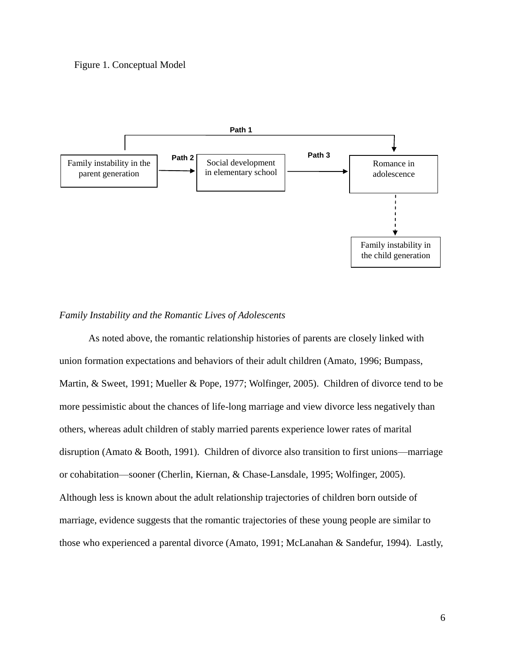## Figure 1. Conceptual Model



## *Family Instability and the Romantic Lives of Adolescents*

As noted above, the romantic relationship histories of parents are closely linked with union formation expectations and behaviors of their adult children (Amato, 1996; Bumpass, Martin, & Sweet, 1991; Mueller & Pope, 1977; Wolfinger, 2005). Children of divorce tend to be more pessimistic about the chances of life-long marriage and view divorce less negatively than others, whereas adult children of stably married parents experience lower rates of marital disruption (Amato & Booth, 1991). Children of divorce also transition to first unions—marriage or cohabitation—sooner (Cherlin, Kiernan, & Chase-Lansdale, 1995; Wolfinger, 2005). Although less is known about the adult relationship trajectories of children born outside of marriage, evidence suggests that the romantic trajectories of these young people are similar to those who experienced a parental divorce (Amato, 1991; McLanahan & Sandefur, 1994). Lastly,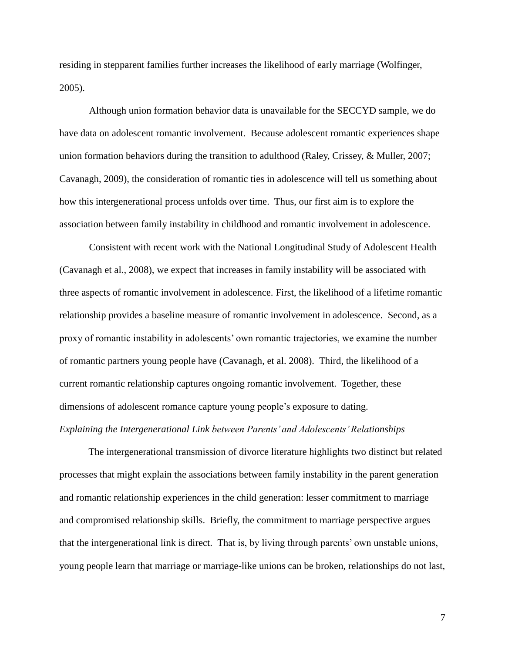residing in stepparent families further increases the likelihood of early marriage (Wolfinger, 2005).

Although union formation behavior data is unavailable for the SECCYD sample, we do have data on adolescent romantic involvement. Because adolescent romantic experiences shape union formation behaviors during the transition to adulthood (Raley, Crissey, & Muller, 2007; Cavanagh, 2009), the consideration of romantic ties in adolescence will tell us something about how this intergenerational process unfolds over time. Thus, our first aim is to explore the association between family instability in childhood and romantic involvement in adolescence.

Consistent with recent work with the National Longitudinal Study of Adolescent Health (Cavanagh et al., 2008), we expect that increases in family instability will be associated with three aspects of romantic involvement in adolescence. First, the likelihood of a lifetime romantic relationship provides a baseline measure of romantic involvement in adolescence. Second, as a proxy of romantic instability in adolescents' own romantic trajectories, we examine the number of romantic partners young people have (Cavanagh, et al. 2008). Third, the likelihood of a current romantic relationship captures ongoing romantic involvement. Together, these dimensions of adolescent romance capture young people's exposure to dating.

## *Explaining the Intergenerational Link between Parents' and Adolescents' Relationships*

The intergenerational transmission of divorce literature highlights two distinct but related processes that might explain the associations between family instability in the parent generation and romantic relationship experiences in the child generation: lesser commitment to marriage and compromised relationship skills. Briefly, the commitment to marriage perspective argues that the intergenerational link is direct. That is, by living through parents' own unstable unions, young people learn that marriage or marriage-like unions can be broken, relationships do not last,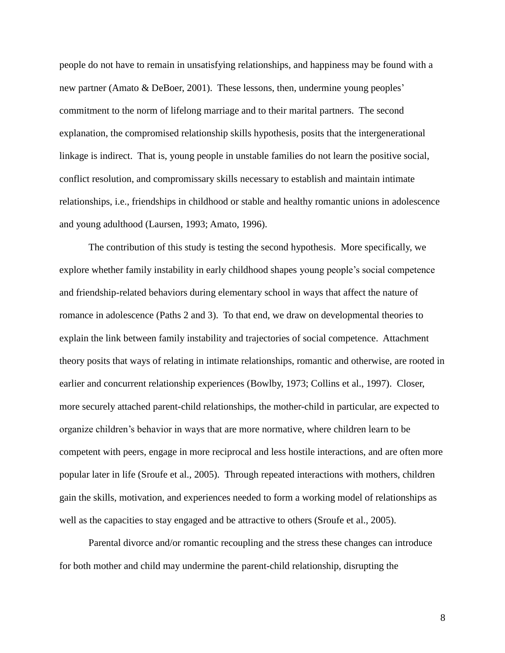people do not have to remain in unsatisfying relationships, and happiness may be found with a new partner (Amato & DeBoer, 2001). These lessons, then, undermine young peoples' commitment to the norm of lifelong marriage and to their marital partners. The second explanation, the compromised relationship skills hypothesis, posits that the intergenerational linkage is indirect. That is, young people in unstable families do not learn the positive social, conflict resolution, and compromissary skills necessary to establish and maintain intimate relationships, i.e., friendships in childhood or stable and healthy romantic unions in adolescence and young adulthood (Laursen, 1993; Amato, 1996).

The contribution of this study is testing the second hypothesis. More specifically, we explore whether family instability in early childhood shapes young people's social competence and friendship-related behaviors during elementary school in ways that affect the nature of romance in adolescence (Paths 2 and 3). To that end, we draw on developmental theories to explain the link between family instability and trajectories of social competence. Attachment theory posits that ways of relating in intimate relationships, romantic and otherwise, are rooted in earlier and concurrent relationship experiences (Bowlby, 1973; Collins et al., 1997). Closer, more securely attached parent-child relationships, the mother-child in particular, are expected to organize children's behavior in ways that are more normative, where children learn to be competent with peers, engage in more reciprocal and less hostile interactions, and are often more popular later in life (Sroufe et al., 2005). Through repeated interactions with mothers, children gain the skills, motivation, and experiences needed to form a working model of relationships as well as the capacities to stay engaged and be attractive to others (Sroufe et al., 2005).

Parental divorce and/or romantic recoupling and the stress these changes can introduce for both mother and child may undermine the parent-child relationship, disrupting the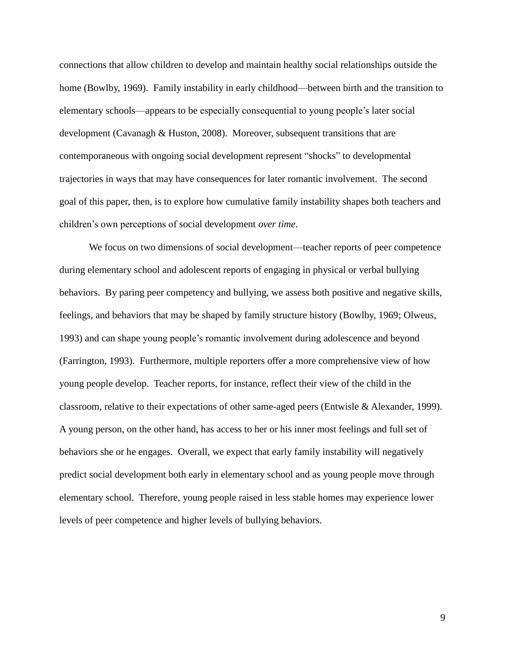connections that allow children to develop and maintain healthy social relationships outside the home (Bowlby, 1969). Family instability in early childhood—between birth and the transition to elementary schools—appears to be especially consequential to young people's later social development (Cavanagh & Huston, 2008). Moreover, subsequent transitions that are contemporaneous with ongoing social development represent "shocks" to developmental trajectories in ways that may have consequences for later romantic involvement. The second goal of this paper, then, is to explore how cumulative family instability shapes both teachers and children's own perceptions of social development *over time*.

We focus on two dimensions of social development—teacher reports of peer competence during elementary school and adolescent reports of engaging in physical or verbal bullying behaviors. By paring peer competency and bullying, we assess both positive and negative skills, feelings, and behaviors that may be shaped by family structure history (Bowlby, 1969; Olweus, 1993) and can shape young people's romantic involvement during adolescence and beyond (Farrington, 1993). Furthermore, multiple reporters offer a more comprehensive view of how young people develop. Teacher reports, for instance, reflect their view of the child in the classroom, relative to their expectations of other same-aged peers (Entwisle & Alexander, 1999). A young person, on the other hand, has access to her or his inner most feelings and full set of behaviors she or he engages. Overall, we expect that early family instability will negatively predict social development both early in elementary school and as young people move through elementary school. Therefore, young people raised in less stable homes may experience lower levels of peer competence and higher levels of bullying behaviors.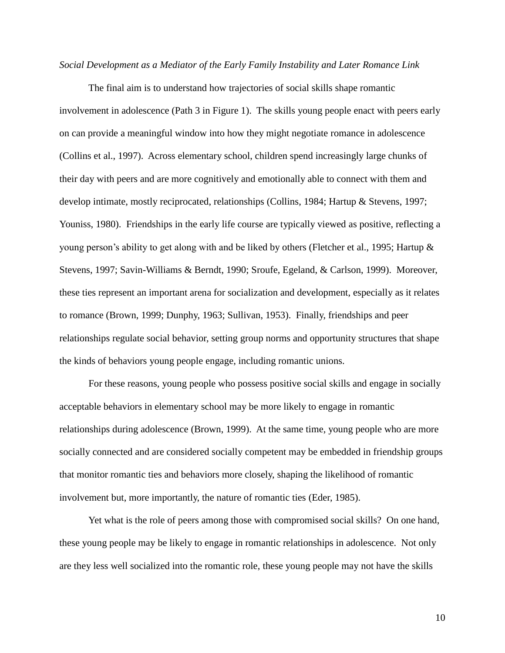## *Social Development as a Mediator of the Early Family Instability and Later Romance Link*

The final aim is to understand how trajectories of social skills shape romantic involvement in adolescence (Path 3 in Figure 1). The skills young people enact with peers early on can provide a meaningful window into how they might negotiate romance in adolescence (Collins et al., 1997). Across elementary school, children spend increasingly large chunks of their day with peers and are more cognitively and emotionally able to connect with them and develop intimate, mostly reciprocated, relationships (Collins, 1984; Hartup & Stevens, 1997; Youniss, 1980). Friendships in the early life course are typically viewed as positive, reflecting a young person's ability to get along with and be liked by others (Fletcher et al., 1995; Hartup & Stevens, 1997; Savin-Williams & Berndt, 1990; Sroufe, Egeland, & Carlson, 1999). Moreover, these ties represent an important arena for socialization and development, especially as it relates to romance (Brown, 1999; Dunphy, 1963; Sullivan, 1953). Finally, friendships and peer relationships regulate social behavior, setting group norms and opportunity structures that shape the kinds of behaviors young people engage, including romantic unions.

For these reasons, young people who possess positive social skills and engage in socially acceptable behaviors in elementary school may be more likely to engage in romantic relationships during adolescence (Brown, 1999). At the same time, young people who are more socially connected and are considered socially competent may be embedded in friendship groups that monitor romantic ties and behaviors more closely, shaping the likelihood of romantic involvement but, more importantly, the nature of romantic ties (Eder, 1985).

Yet what is the role of peers among those with compromised social skills? On one hand, these young people may be likely to engage in romantic relationships in adolescence. Not only are they less well socialized into the romantic role, these young people may not have the skills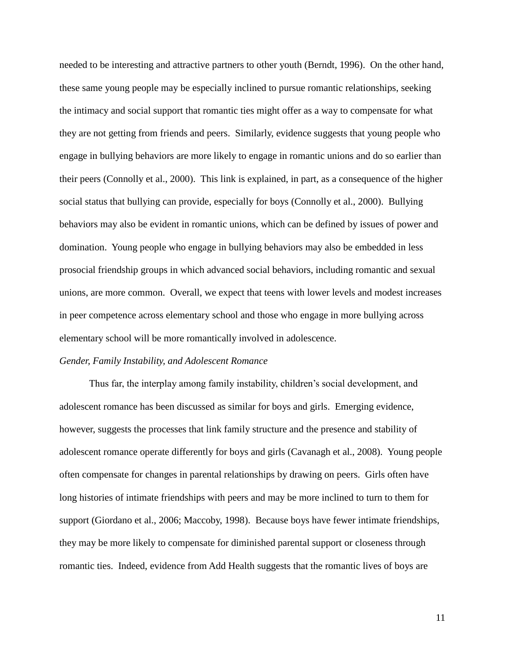needed to be interesting and attractive partners to other youth (Berndt, 1996). On the other hand, these same young people may be especially inclined to pursue romantic relationships, seeking the intimacy and social support that romantic ties might offer as a way to compensate for what they are not getting from friends and peers. Similarly, evidence suggests that young people who engage in bullying behaviors are more likely to engage in romantic unions and do so earlier than their peers (Connolly et al., 2000). This link is explained, in part, as a consequence of the higher social status that bullying can provide, especially for boys (Connolly et al., 2000). Bullying behaviors may also be evident in romantic unions, which can be defined by issues of power and domination. Young people who engage in bullying behaviors may also be embedded in less prosocial friendship groups in which advanced social behaviors, including romantic and sexual unions, are more common. Overall, we expect that teens with lower levels and modest increases in peer competence across elementary school and those who engage in more bullying across elementary school will be more romantically involved in adolescence.

## *Gender, Family Instability, and Adolescent Romance*

Thus far, the interplay among family instability, children's social development, and adolescent romance has been discussed as similar for boys and girls. Emerging evidence, however, suggests the processes that link family structure and the presence and stability of adolescent romance operate differently for boys and girls (Cavanagh et al., 2008). Young people often compensate for changes in parental relationships by drawing on peers. Girls often have long histories of intimate friendships with peers and may be more inclined to turn to them for support (Giordano et al., 2006; Maccoby, 1998). Because boys have fewer intimate friendships, they may be more likely to compensate for diminished parental support or closeness through romantic ties. Indeed, evidence from Add Health suggests that the romantic lives of boys are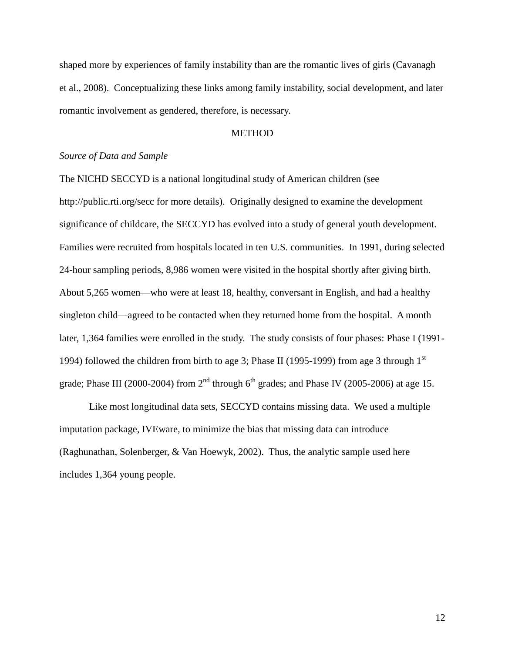shaped more by experiences of family instability than are the romantic lives of girls (Cavanagh et al., 2008). Conceptualizing these links among family instability, social development, and later romantic involvement as gendered, therefore, is necessary.

## **METHOD**

## *Source of Data and Sample*

The NICHD SECCYD is a national longitudinal study of American children (see http://public.rti.org/secc for more details). Originally designed to examine the development significance of childcare, the SECCYD has evolved into a study of general youth development. Families were recruited from hospitals located in ten U.S. communities. In 1991, during selected 24-hour sampling periods, 8,986 women were visited in the hospital shortly after giving birth. About 5,265 women—who were at least 18, healthy, conversant in English, and had a healthy singleton child—agreed to be contacted when they returned home from the hospital. A month later, 1,364 families were enrolled in the study. The study consists of four phases: Phase I (1991- 1994) followed the children from birth to age 3; Phase II (1995-1999) from age 3 through  $1<sup>st</sup>$ grade; Phase III (2000-2004) from  $2<sup>nd</sup>$  through  $6<sup>th</sup>$  grades; and Phase IV (2005-2006) at age 15.

Like most longitudinal data sets, SECCYD contains missing data. We used a multiple imputation package, IVEware, to minimize the bias that missing data can introduce (Raghunathan, Solenberger, & Van Hoewyk, 2002). Thus, the analytic sample used here includes 1,364 young people.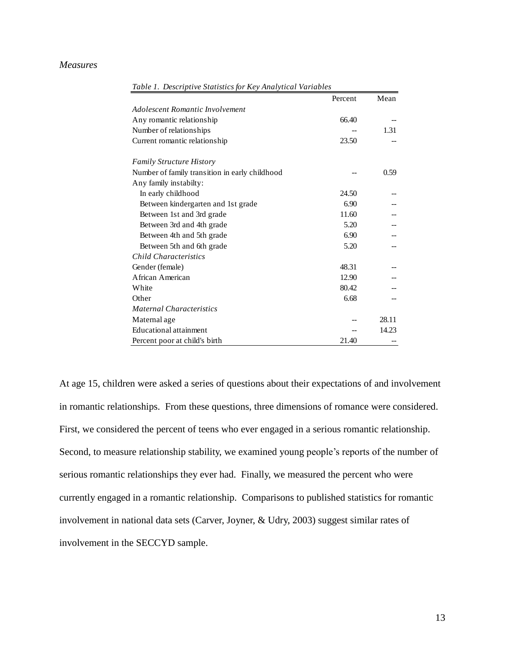## *Measures*

| Table 1. Descriptive Statistics for Key Analytical Variables |         |       |
|--------------------------------------------------------------|---------|-------|
|                                                              | Percent | Mean  |
| Adolescent Romantic Involvement                              |         |       |
| Any romantic relationship                                    | 66.40   |       |
| Number of relationships                                      |         | 1.31  |
| Current romantic relationship                                | 23.50   |       |
| <b>Family Structure History</b>                              |         |       |
| Number of family transition in early childhood               |         | 0.59  |
| Any family instabilty:                                       |         |       |
| In early childhood                                           | 24.50   |       |
| Between kindergarten and 1st grade                           | 6.90    |       |
| Between 1st and 3rd grade                                    | 11.60   |       |
| Between 3rd and 4th grade                                    | 5.20    |       |
| Between 4th and 5th grade                                    | 6.90    |       |
| Between 5th and 6th grade                                    | 5.20    |       |
| <b>Child Characteristics</b>                                 |         |       |
| Gender (female)                                              | 48.31   |       |
| African American                                             | 12.90   |       |
| White                                                        | 80.42   |       |
| Other                                                        | 6.68    |       |
| <b>Maternal Characteristics</b>                              |         |       |
| Maternal age                                                 |         | 28.11 |
| <b>Educational attainment</b>                                |         | 14.23 |
| Percent poor at child's birth                                | 21.40   |       |

At age 15, children were asked a series of questions about their expectations of and involvement in romantic relationships. From these questions, three dimensions of romance were considered. First, we considered the percent of teens who ever engaged in a serious romantic relationship. Second, to measure relationship stability, we examined young people's reports of the number of serious romantic relationships they ever had. Finally, we measured the percent who were currently engaged in a romantic relationship. Comparisons to published statistics for romantic involvement in national data sets (Carver, Joyner, & Udry, 2003) suggest similar rates of involvement in the SECCYD sample.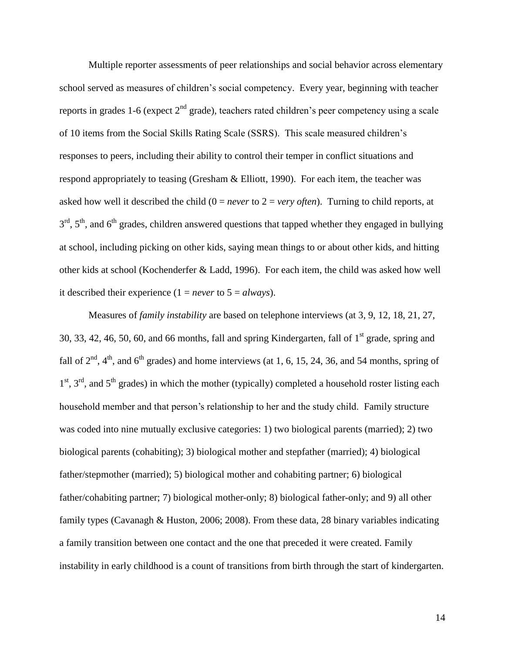Multiple reporter assessments of peer relationships and social behavior across elementary school served as measures of children's social competency. Every year, beginning with teacher reports in grades 1-6 (expect  $2<sup>nd</sup>$  grade), teachers rated children's peer competency using a scale of 10 items from the Social Skills Rating Scale (SSRS). This scale measured children's responses to peers, including their ability to control their temper in conflict situations and respond appropriately to teasing (Gresham & Elliott, 1990). For each item, the teacher was asked how well it described the child (0 = *never* to 2 = *very often*). Turning to child reports, at  $3<sup>rd</sup>$ ,  $5<sup>th</sup>$ , and  $6<sup>th</sup>$  grades, children answered questions that tapped whether they engaged in bullying at school, including picking on other kids, saying mean things to or about other kids, and hitting other kids at school (Kochenderfer & Ladd, 1996). For each item, the child was asked how well it described their experience  $(1 = never to 5 = always)$ .

Measures of *family instability* are based on telephone interviews (at 3, 9, 12, 18, 21, 27, 30, 33, 42, 46, 50, 60, and 66 months, fall and spring Kindergarten, fall of  $1<sup>st</sup>$  grade, spring and fall of  $2<sup>nd</sup>$ ,  $4<sup>th</sup>$ , and  $6<sup>th</sup>$  grades) and home interviews (at 1, 6, 15, 24, 36, and 54 months, spring of 1<sup>st</sup>, 3<sup>rd</sup>, and 5<sup>th</sup> grades) in which the mother (typically) completed a household roster listing each household member and that person's relationship to her and the study child. Family structure was coded into nine mutually exclusive categories: 1) two biological parents (married); 2) two biological parents (cohabiting); 3) biological mother and stepfather (married); 4) biological father/stepmother (married); 5) biological mother and cohabiting partner; 6) biological father/cohabiting partner; 7) biological mother-only; 8) biological father-only; and 9) all other family types (Cavanagh & Huston, 2006; 2008). From these data, 28 binary variables indicating a family transition between one contact and the one that preceded it were created. Family instability in early childhood is a count of transitions from birth through the start of kindergarten.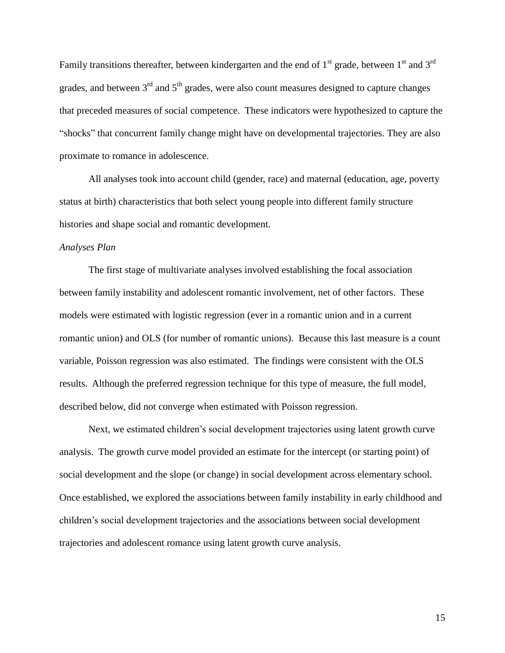Family transitions thereafter, between kindergarten and the end of  $1<sup>st</sup>$  grade, between  $1<sup>st</sup>$  and  $3<sup>rd</sup>$ grades, and between  $3<sup>rd</sup>$  and  $5<sup>th</sup>$  grades, were also count measures designed to capture changes that preceded measures of social competence. These indicators were hypothesized to capture the "shocks" that concurrent family change might have on developmental trajectories. They are also proximate to romance in adolescence.

All analyses took into account child (gender, race) and maternal (education, age, poverty status at birth) characteristics that both select young people into different family structure histories and shape social and romantic development.

## *Analyses Plan*

The first stage of multivariate analyses involved establishing the focal association between family instability and adolescent romantic involvement, net of other factors. These models were estimated with logistic regression (ever in a romantic union and in a current romantic union) and OLS (for number of romantic unions). Because this last measure is a count variable, Poisson regression was also estimated. The findings were consistent with the OLS results. Although the preferred regression technique for this type of measure, the full model, described below, did not converge when estimated with Poisson regression.

Next, we estimated children's social development trajectories using latent growth curve analysis. The growth curve model provided an estimate for the intercept (or starting point) of social development and the slope (or change) in social development across elementary school. Once established, we explored the associations between family instability in early childhood and children's social development trajectories and the associations between social development trajectories and adolescent romance using latent growth curve analysis.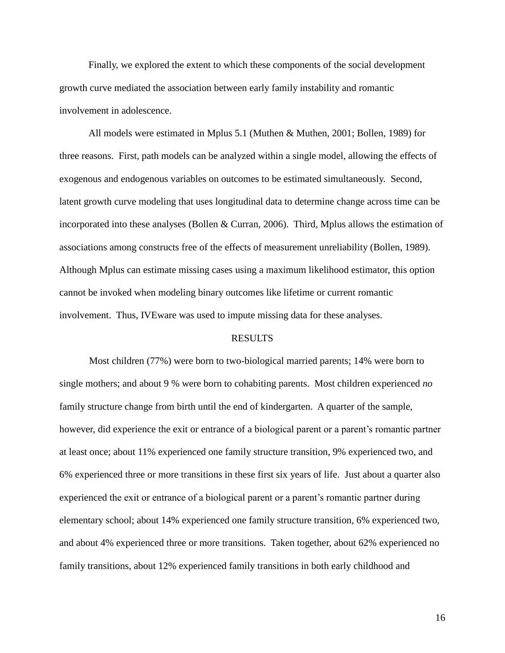Finally, we explored the extent to which these components of the social development growth curve mediated the association between early family instability and romantic involvement in adolescence.

All models were estimated in Mplus 5.1 (Muthen & Muthen, 2001; Bollen, 1989) for three reasons. First, path models can be analyzed within a single model, allowing the effects of exogenous and endogenous variables on outcomes to be estimated simultaneously. Second, latent growth curve modeling that uses longitudinal data to determine change across time can be incorporated into these analyses (Bollen & Curran, 2006). Third, Mplus allows the estimation of associations among constructs free of the effects of measurement unreliability (Bollen, 1989). Although Mplus can estimate missing cases using a maximum likelihood estimator, this option cannot be invoked when modeling binary outcomes like lifetime or current romantic involvement. Thus, IVEware was used to impute missing data for these analyses.

## RESULTS

Most children (77%) were born to two-biological married parents; 14% were born to single mothers; and about 9 % were born to cohabiting parents. Most children experienced *no* family structure change from birth until the end of kindergarten. A quarter of the sample, however, did experience the exit or entrance of a biological parent or a parent's romantic partner at least once; about 11% experienced one family structure transition, 9% experienced two, and 6% experienced three or more transitions in these first six years of life. Just about a quarter also experienced the exit or entrance of a biological parent or a parent's romantic partner during elementary school; about 14% experienced one family structure transition, 6% experienced two, and about 4% experienced three or more transitions. Taken together, about 62% experienced no family transitions, about 12% experienced family transitions in both early childhood and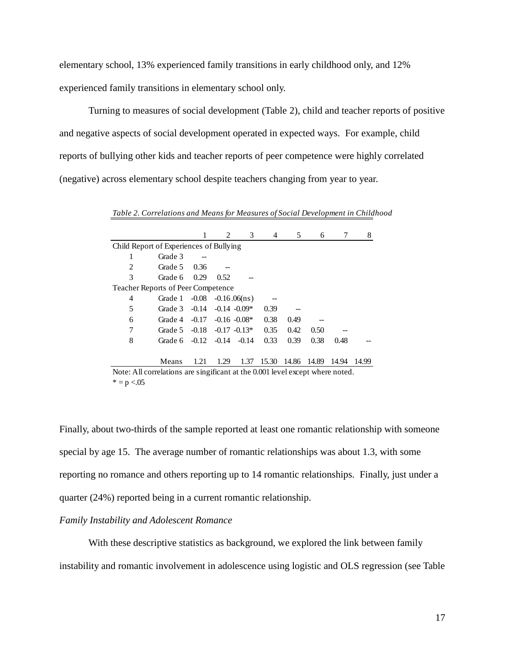elementary school, 13% experienced family transitions in early childhood only, and 12% experienced family transitions in elementary school only.

Turning to measures of social development (Table 2), child and teacher reports of positive and negative aspects of social development operated in expected ways. For example, child reports of bullying other kids and teacher reports of peer competence were highly correlated (negative) across elementary school despite teachers changing from year to year.

*Table 2. Correlations and Means for Measures of Social Development in Childhood*

|                                                                               |         |         | 2       | 3                        | 4     | 5     | 6     | 7     | 8     |
|-------------------------------------------------------------------------------|---------|---------|---------|--------------------------|-------|-------|-------|-------|-------|
| Child Report of Experiences of Bullying                                       |         |         |         |                          |       |       |       |       |       |
|                                                                               | Grade 3 |         |         |                          |       |       |       |       |       |
| 2                                                                             | Grade 5 | 0.36    |         |                          |       |       |       |       |       |
| 3                                                                             | Grade 6 | 0.29    | 0.52    |                          |       |       |       |       |       |
| Teacher Reports of Peer Competence                                            |         |         |         |                          |       |       |       |       |       |
| 4                                                                             | Grade 1 | $-0.08$ |         | $-0.16.06(n_s)$          |       |       |       |       |       |
| 5                                                                             | Grade 3 |         |         | $-0.14$ $-0.14$ $-0.09*$ | 0.39  |       |       |       |       |
| 6                                                                             | Grade 4 |         |         | $-0.17 -0.16 -0.08*$     | 0.38  | 0.49  |       |       |       |
| 7                                                                             | Grade 5 |         |         | $-0.18$ $-0.17$ $-0.13*$ | 0.35  | 0.42  | 0.50  |       |       |
| 8                                                                             | Grade 6 | $-0.12$ | $-0.14$ | $-0.14$                  | 0.33  | 0.39  | 0.38  | 0.48  |       |
|                                                                               |         |         |         |                          |       |       |       |       |       |
|                                                                               | Means   | 1.21    | 1.29    | 1.37                     | 15.30 | 14.86 | 14.89 | 14.94 | 14.99 |
| Note: All correlations are singificant at the 0.001 level except where noted. |         |         |         |                          |       |       |       |       |       |
| $* = p < 0.05$                                                                |         |         |         |                          |       |       |       |       |       |

Finally, about two-thirds of the sample reported at least one romantic relationship with someone special by age 15. The average number of romantic relationships was about 1.3, with some reporting no romance and others reporting up to 14 romantic relationships. Finally, just under a quarter (24%) reported being in a current romantic relationship.

## *Family Instability and Adolescent Romance*

With these descriptive statistics as background, we explored the link between family instability and romantic involvement in adolescence using logistic and OLS regression (see Table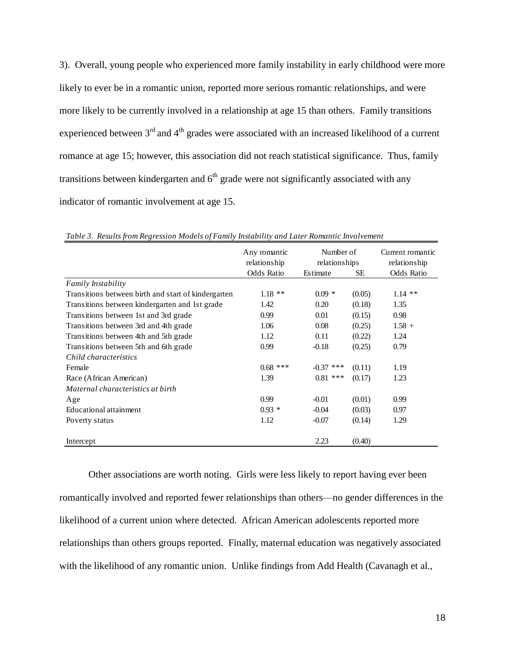3). Overall, young people who experienced more family instability in early childhood were more likely to ever be in a romantic union, reported more serious romantic relationships, and were more likely to be currently involved in a relationship at age 15 than others. Family transitions experienced between  $3<sup>rd</sup>$  and  $4<sup>th</sup>$  grades were associated with an increased likelihood of a current romance at age 15; however, this association did not reach statistical significance. Thus, family transitions between kindergarten and  $6<sup>th</sup>$  grade were not significantly associated with any indicator of romantic involvement at age 15.

|                                                     | Number of<br>Any romantic<br>relationship<br>relationships |             | Current romantic<br>relationship |            |
|-----------------------------------------------------|------------------------------------------------------------|-------------|----------------------------------|------------|
|                                                     | <b>Odds Ratio</b>                                          | Estimate    | SE.                              | Odds Ratio |
| <b>Family Instability</b>                           |                                                            |             |                                  |            |
| Transitions between birth and start of kindergarten | $1.18**$                                                   | $0.09 *$    | (0.05)                           | $1.14$ **  |
| Transitions between kindergarten and 1st grade      | 1.42                                                       | 0.20        | (0.18)                           | 1.35       |
| Transitions between 1st and 3rd grade               | 0.99                                                       | 0.01        | (0.15)                           | 0.98       |
| Transitions between 3rd and 4th grade               | 1.06                                                       | 0.08        | (0.25)                           | $1.58 +$   |
| Transitions between 4th and 5th grade               | 1.12                                                       | 0.11        | (0.22)                           | 1.24       |
| Transitions between 5th and 6th grade               | 0.99                                                       | $-0.18$     | (0.25)                           | 0.79       |
| Child characteristics                               |                                                            |             |                                  |            |
| Female                                              | $0.68$ ***                                                 | $-0.37$ *** | (0.11)                           | 1.19       |
| Race (African American)                             | 1.39                                                       | $0.81$ ***  | (0.17)                           | 1.23       |
| Maternal characteristics at birth                   |                                                            |             |                                  |            |
| Age                                                 | 0.99                                                       | $-0.01$     | (0.01)                           | 0.99       |
| Educational attainment                              | $0.93 *$                                                   | $-0.04$     | (0.03)                           | 0.97       |
| Poverty status                                      | 1.12                                                       | $-0.07$     | (0.14)                           | 1.29       |
| Intercept                                           |                                                            | 2.23        | (0.40)                           |            |

*Table 3. Results from Regression Models of Family Instability and Later Romantic Involvement* 

Other associations are worth noting. Girls were less likely to report having ever been romantically involved and reported fewer relationships than others—no gender differences in the likelihood of a current union where detected. African American adolescents reported more relationships than others groups reported. Finally, maternal education was negatively associated with the likelihood of any romantic union. Unlike findings from Add Health (Cavanagh et al.,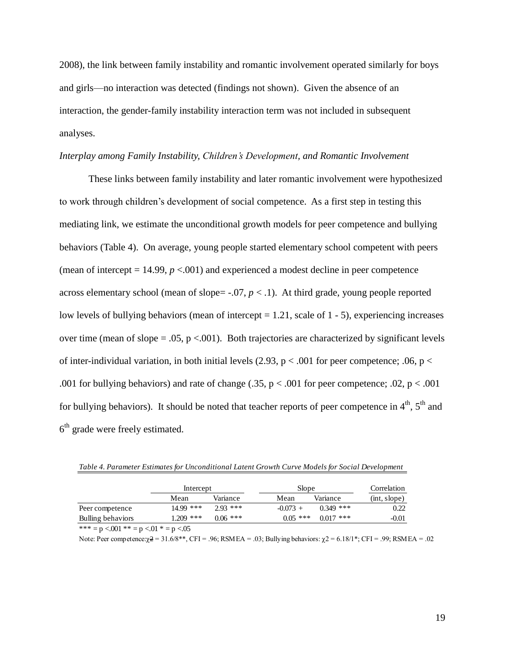2008), the link between family instability and romantic involvement operated similarly for boys and girls—no interaction was detected (findings not shown). Given the absence of an interaction, the gender-family instability interaction term was not included in subsequent analyses.

## *Interplay among Family Instability, Children's Development, and Romantic Involvement*

These links between family instability and later romantic involvement were hypothesized to work through children's development of social competence. As a first step in testing this mediating link, we estimate the unconditional growth models for peer competence and bullying behaviors (Table 4). On average, young people started elementary school competent with peers (mean of intercept  $= 14.99$ ,  $p < .001$ ) and experienced a modest decline in peer competence across elementary school (mean of slope= $-.07, p < .1$ ). At third grade, young people reported low levels of bullying behaviors (mean of intercept = 1.21, scale of 1 - 5), experiencing increases over time (mean of slope  $= .05$ , p <.001). Both trajectories are characterized by significant levels of inter-individual variation, in both initial levels (2.93,  $p < .001$  for peer competence; .06,  $p <$ .001 for bullying behaviors) and rate of change (.35,  $p < .001$  for peer competence; .02,  $p < .001$ for bullying behaviors). It should be noted that teacher reports of peer competence in  $4<sup>th</sup>$ ,  $5<sup>th</sup>$  and  $6<sup>th</sup>$  grade were freely estimated.

|                   | Intercept   |            | Slope      | Correlation |              |
|-------------------|-------------|------------|------------|-------------|--------------|
|                   | Mean        | Variance   | Mean       | Variance    | (int, slope) |
| Peer competence   | $14.99$ *** | $2.93***$  | $-0.073 +$ | $0.349$ *** | 0.22         |
| Bulling behaviors | $1.209$ *** | $0.06$ *** | $0.05$ *** | $0.017$ *** | $-0.01$      |

*Table 4. Parameter Estimates for Unconditional Latent Growth Curve Models for Social Development*

\*\*\* = p <.001 \*\* = p <.01 \* = p <.05

Note: Peer competence: $\chi^2 = 31.6/8**$ , CFI = .96; RSMEA = .03; Bullying behaviors:  $\chi^2 = 6.18/1*$ ; CFI = .99; RSMEA = .02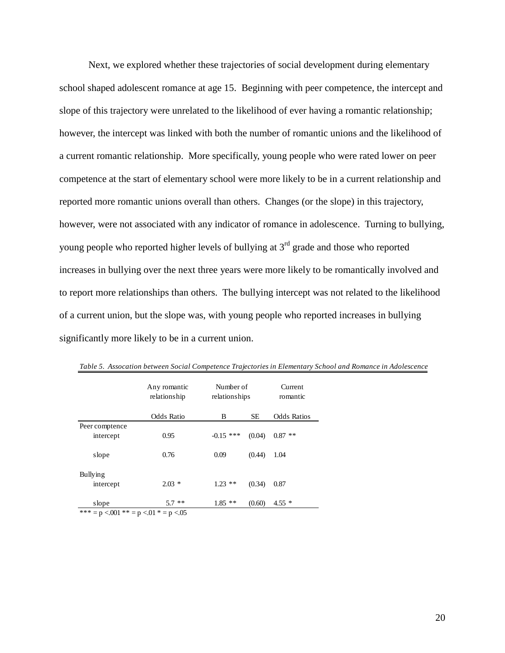Next, we explored whether these trajectories of social development during elementary school shaped adolescent romance at age 15. Beginning with peer competence, the intercept and slope of this trajectory were unrelated to the likelihood of ever having a romantic relationship; however, the intercept was linked with both the number of romantic unions and the likelihood of a current romantic relationship. More specifically, young people who were rated lower on peer competence at the start of elementary school were more likely to be in a current relationship and reported more romantic unions overall than others. Changes (or the slope) in this trajectory, however, were not associated with any indicator of romance in adolescence. Turning to bullying, young people who reported higher levels of bullying at  $3<sup>rd</sup>$  grade and those who reported increases in bullying over the next three years were more likely to be romantically involved and to report more relationships than others. The bullying intercept was not related to the likelihood of a current union, but the slope was, with young people who reported increases in bullying significantly more likely to be in a current union.

|                                            | Any romantic<br>relationship | Number of<br>relationships |           | Current<br>romantic |
|--------------------------------------------|------------------------------|----------------------------|-----------|---------------------|
|                                            | <b>Odds Ratio</b>            | B                          | <b>SE</b> | <b>Odds Ratios</b>  |
| Peer comptence                             |                              |                            |           |                     |
| intercept                                  | 0.95                         | $-0.15$ ***                | (0.04)    | **<br>0.87          |
|                                            |                              |                            |           |                     |
| slope                                      | 0.76                         | 0.09                       | (0.44)    | 1.04                |
|                                            |                              |                            |           |                     |
| <b>Bullying</b>                            |                              |                            |           |                     |
| intercept                                  | $2.03*$                      | $1.23$ **                  | (0.34)    | 0.87                |
|                                            |                              |                            |           |                     |
| slope                                      | $***$<br>5.7                 | $1.85$ **                  | (0.60)    | $4.55*$             |
| *** = $p < 001$ ** = $p < 01$ * = $p < 05$ |                              |                            |           |                     |

*Table 5. Assocation between Social Competence Trajectories in Elementary School and Romance in Adolescence*

\*\*\* = p <.001 \*\* = p <.01 \* = p <.05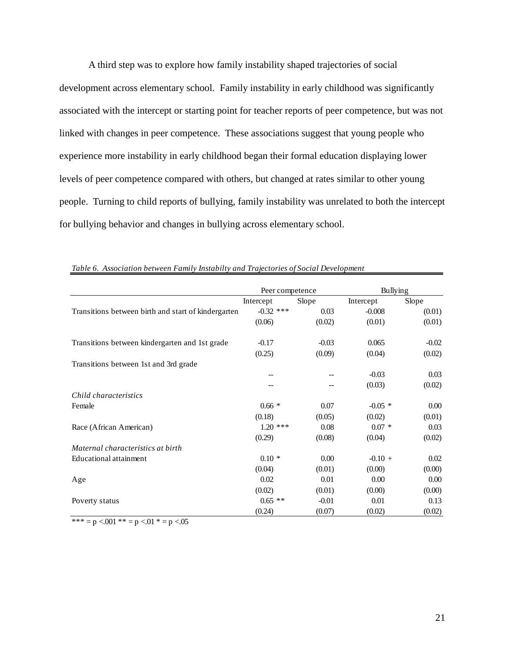A third step was to explore how family instability shaped trajectories of social development across elementary school. Family instability in early childhood was significantly associated with the intercept or starting point for teacher reports of peer competence, but was not linked with changes in peer competence. These associations suggest that young people who experience more instability in early childhood began their formal education displaying lower levels of peer competence compared with others, but changed at rates similar to other young people. Turning to child reports of bullying, family instability was unrelated to both the intercept for bullying behavior and changes in bullying across elementary school.

|                                                     | Peer competence |         |           | <b>Bullying</b> |  |  |
|-----------------------------------------------------|-----------------|---------|-----------|-----------------|--|--|
|                                                     | Intercept       | Slope   | Intercept | Slope           |  |  |
| Transitions between birth and start of kindergarten | $-0.32$ ***     | 0.03    | $-0.008$  | (0.01)          |  |  |
|                                                     | (0.06)          | (0.02)  | (0.01)    | (0.01)          |  |  |
| Transitions between kindergarten and 1st grade      | $-0.17$         | $-0.03$ | 0.065     | $-0.02$         |  |  |
|                                                     | (0.25)          | (0.09)  | (0.04)    | (0.02)          |  |  |
| Transitions between 1st and 3rd grade               |                 |         |           |                 |  |  |
|                                                     |                 |         | $-0.03$   | 0.03            |  |  |
|                                                     |                 |         | (0.03)    | (0.02)          |  |  |
| Child characteristics                               |                 |         |           |                 |  |  |
| Female                                              | $0.66*$         | 0.07    | $-0.05$ * | 0.00            |  |  |
|                                                     | (0.18)          | (0.05)  | (0.02)    | (0.01)          |  |  |
| Race (African American)                             | $1.20$ ***      | 0.08    | $0.07 *$  | 0.03            |  |  |
|                                                     | (0.29)          | (0.08)  | (0.04)    | (0.02)          |  |  |
| Maternal characteristics at birth                   |                 |         |           |                 |  |  |
| <b>Educational attainment</b>                       | $0.10*$         | 0.00    | $-0.10 +$ | 0.02            |  |  |
|                                                     | (0.04)          | (0.01)  | (0.00)    | (0.00)          |  |  |
| Age                                                 | 0.02            | 0.01    | 0.00      | 0.00            |  |  |
|                                                     | (0.02)          | (0.01)  | (0.00)    | (0.00)          |  |  |
| Poverty status                                      | $0.65$ **       | $-0.01$ | 0.01      | 0.13            |  |  |
|                                                     | (0.24)          | (0.07)  | (0.02)    | (0.02)          |  |  |

*Table 6. Association between Family Instabilty and Trajectories of Social Development*

\*\*\* = p <.001 \*\* = p <.01 \* = p <.05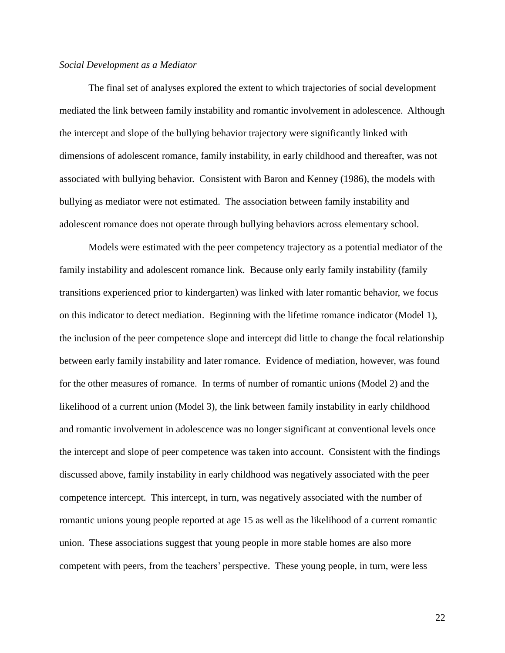#### *Social Development as a Mediator*

The final set of analyses explored the extent to which trajectories of social development mediated the link between family instability and romantic involvement in adolescence. Although the intercept and slope of the bullying behavior trajectory were significantly linked with dimensions of adolescent romance, family instability, in early childhood and thereafter, was not associated with bullying behavior. Consistent with Baron and Kenney (1986), the models with bullying as mediator were not estimated. The association between family instability and adolescent romance does not operate through bullying behaviors across elementary school.

Models were estimated with the peer competency trajectory as a potential mediator of the family instability and adolescent romance link. Because only early family instability (family transitions experienced prior to kindergarten) was linked with later romantic behavior, we focus on this indicator to detect mediation. Beginning with the lifetime romance indicator (Model 1), the inclusion of the peer competence slope and intercept did little to change the focal relationship between early family instability and later romance. Evidence of mediation, however, was found for the other measures of romance. In terms of number of romantic unions (Model 2) and the likelihood of a current union (Model 3), the link between family instability in early childhood and romantic involvement in adolescence was no longer significant at conventional levels once the intercept and slope of peer competence was taken into account. Consistent with the findings discussed above, family instability in early childhood was negatively associated with the peer competence intercept. This intercept, in turn, was negatively associated with the number of romantic unions young people reported at age 15 as well as the likelihood of a current romantic union. These associations suggest that young people in more stable homes are also more competent with peers, from the teachers' perspective. These young people, in turn, were less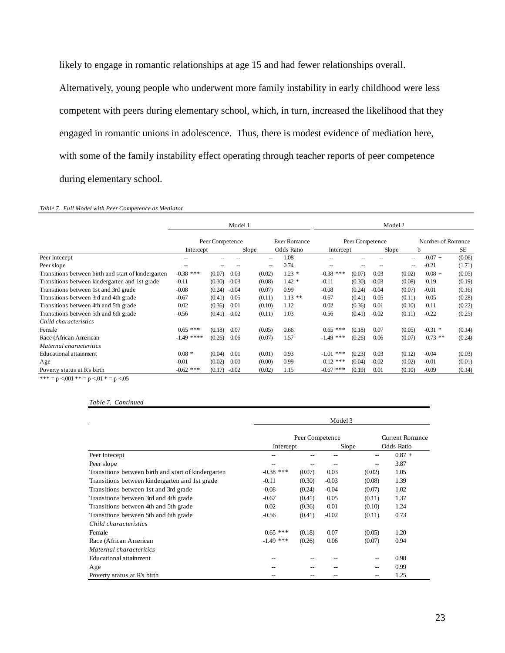likely to engage in romantic relationships at age 15 and had fewer relationships overall. Alternatively, young people who underwent more family instability in early childhood were less competent with peers during elementary school, which, in turn, increased the likelihood that they engaged in romantic unions in adolescence. Thus, there is modest evidence of mediation here, with some of the family instability effect operating through teacher reports of peer competence during elementary school.

#### *Table 7. Full Model with Peer Competence as Mediator*

|                                                     | Model 1                         |        |         |                 | Model 2           |                   |        |                   |        |           |        |
|-----------------------------------------------------|---------------------------------|--------|---------|-----------------|-------------------|-------------------|--------|-------------------|--------|-----------|--------|
|                                                     | Ever Romance<br>Peer Competence |        |         | Peer Competence |                   |                   |        | Number of Romance |        |           |        |
|                                                     | Intercept                       |        |         | Slope           | <b>Odds Ratio</b> | Intercept         |        |                   | Slope  | b         | SЕ     |
| Peer Intecept                                       |                                 |        |         | --              | 1.08              |                   |        |                   | --     | $-0.07 +$ | (0.06) |
| Peer slope                                          | $-$                             |        |         | --              | 0.74              | $\hspace{0.05cm}$ |        |                   | --     | $-0.21$   | (1.71) |
| Transitions between birth and start of kindergarten | $-0.38$ ***                     | (0.07) | 0.03    | (0.02)          | $1.23*$           | $-0.38$ ***       | (0.07) | 0.03              | (0.02) | $0.08 +$  | (0.05) |
| Transitions between kindergarten and 1st grade      | $-0.11$                         | (0.30) | $-0.03$ | (0.08)          | $1.42*$           | $-0.11$           | (0.30) | $-0.03$           | (0.08) | 0.19      | (0.19) |
| Transitions between 1st and 3rd grade               | $-0.08$                         | (0.24) | $-0.04$ | (0.07)          | 0.99              | $-0.08$           | (0.24) | $-0.04$           | (0.07) | $-0.01$   | (0.16) |
| Transitions between 3rd and 4th grade               | $-0.67$                         | (0.41) | 0.05    | (0.11)          | $1.13**$          | $-0.67$           | (0.41) | 0.05              | (0.11) | 0.05      | (0.28) |
| Transitions between 4th and 5th grade               | 0.02                            | (0.36) | 0.01    | (0.10)          | 1.12              | 0.02              | (0.36) | 0.01              | (0.10) | 0.11      | (0.22) |
| Transitions between 5th and 6th grade               | $-0.56$                         | (0.41) | $-0.02$ | (0.11)          | 1.03              | $-0.56$           | (0.41) | $-0.02$           | (0.11) | $-0.22$   | (0.25) |
| Child characteristics                               |                                 |        |         |                 |                   |                   |        |                   |        |           |        |
| Female                                              | $0.65$ ***                      | (0.18) | 0.07    | (0.05)          | 0.66              | $0.65$ ***        | (0.18) | 0.07              | (0.05) | $-0.31$ * | (0.14) |
| Race (African American                              | $-1.49$ ****                    | (0.26) | 0.06    | (0.07)          | 1.57              | $-1.49$ ***       | (0.26) | 0.06              | (0.07) | $0.73$ ** | (0.24) |
| Maternal characteritics                             |                                 |        |         |                 |                   |                   |        |                   |        |           |        |
| Educational attainment                              | $0.08*$                         | (0.04) | 0.01    | (0.01)          | 0.93              | ***<br>$-1.01$    | (0.23) | 0.03              | (0.12) | $-0.04$   | (0.03) |
| Age                                                 | $-0.01$                         | (0.02) | 0.00    | (0.00)          | 0.99              | $0.12$ ***        | (0.04) | $-0.02$           | (0.02) | $-0.01$   | (0.01) |
| Poverty status at R's birth                         | $-0.62$ ***                     | (0.17) | $-0.02$ | (0.02)          | 1.15              | $-0.67$ ***       | (0.19) | 0.01              | (0.10) | $-0.09$   | (0.14) |
|                                                     |                                 |        |         |                 |                   |                   |        |                   |        |           |        |

\*\*\* = p <.001 \*\* = p <.01 \* = p <.05

*Table 7. Continued*

|                                                     | Model 3                      |        |                               |        |          |  |  |  |
|-----------------------------------------------------|------------------------------|--------|-------------------------------|--------|----------|--|--|--|
|                                                     | Peer Competence<br>Intercept |        | Current Romance<br>Odds Ratio |        |          |  |  |  |
| Peer Intecept                                       |                              |        | Slope                         |        | $0.87 +$ |  |  |  |
| Peer slope                                          |                              |        |                               | --     | 3.87     |  |  |  |
| Transitions between birth and start of kindergarten | $-0.38$ ***                  | (0.07) | 0.03                          | (0.02) | 1.05     |  |  |  |
| Transitions between kindergarten and 1st grade      | $-0.11$                      | (0.30) | $-0.03$                       | (0.08) | 1.39     |  |  |  |
| Transitions between 1st and 3rd grade               | $-0.08$                      | (0.24) | $-0.04$                       | (0.07) | 1.02     |  |  |  |
| Transitions between 3rd and 4th grade               | $-0.67$                      | (0.41) | 0.05                          | (0.11) | 1.37     |  |  |  |
| Transitions between 4th and 5th grade               | 0.02                         | (0.36) | 0.01                          | (0.10) | 1.24     |  |  |  |
| Transitions between 5th and 6th grade               | $-0.56$                      | (0.41) | $-0.02$                       | (0.11) | 0.73     |  |  |  |
| Child characteristics                               |                              |        |                               |        |          |  |  |  |
| Female                                              | $0.65$ ***                   | (0.18) | 0.07                          | (0.05) | 1.20     |  |  |  |
| Race (African American                              | $-1.49$ ***                  | (0.26) | 0.06                          | (0.07) | 0.94     |  |  |  |
| Maternal characteritics                             |                              |        |                               |        |          |  |  |  |
| Educational attainment                              |                              |        |                               | --     | 0.98     |  |  |  |
| Age                                                 |                              |        |                               | --     | 0.99     |  |  |  |
| Poverty status at R's birth                         |                              |        |                               | --     | 1.25     |  |  |  |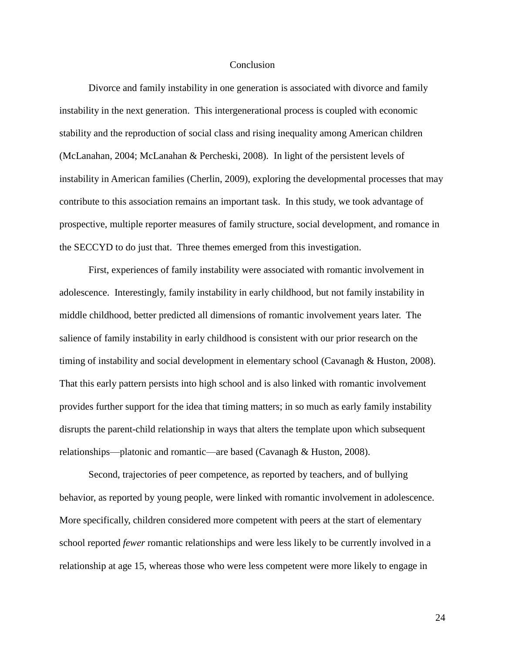## **Conclusion**

Divorce and family instability in one generation is associated with divorce and family instability in the next generation. This intergenerational process is coupled with economic stability and the reproduction of social class and rising inequality among American children (McLanahan, 2004; McLanahan & Percheski, 2008). In light of the persistent levels of instability in American families (Cherlin, 2009), exploring the developmental processes that may contribute to this association remains an important task. In this study, we took advantage of prospective, multiple reporter measures of family structure, social development, and romance in the SECCYD to do just that. Three themes emerged from this investigation.

First, experiences of family instability were associated with romantic involvement in adolescence. Interestingly, family instability in early childhood, but not family instability in middle childhood, better predicted all dimensions of romantic involvement years later. The salience of family instability in early childhood is consistent with our prior research on the timing of instability and social development in elementary school (Cavanagh & Huston, 2008). That this early pattern persists into high school and is also linked with romantic involvement provides further support for the idea that timing matters; in so much as early family instability disrupts the parent-child relationship in ways that alters the template upon which subsequent relationships—platonic and romantic—are based (Cavanagh & Huston, 2008).

Second, trajectories of peer competence, as reported by teachers, and of bullying behavior, as reported by young people, were linked with romantic involvement in adolescence. More specifically, children considered more competent with peers at the start of elementary school reported *fewer* romantic relationships and were less likely to be currently involved in a relationship at age 15, whereas those who were less competent were more likely to engage in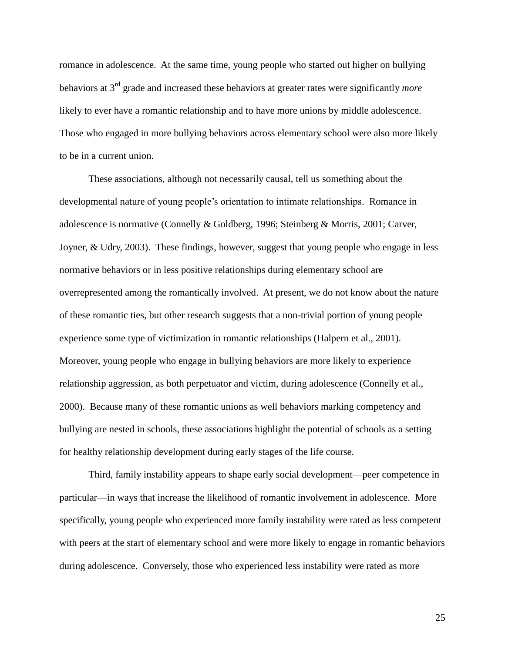romance in adolescence. At the same time, young people who started out higher on bullying behaviors at 3rd grade and increased these behaviors at greater rates were significantly *more* likely to ever have a romantic relationship and to have more unions by middle adolescence. Those who engaged in more bullying behaviors across elementary school were also more likely to be in a current union.

These associations, although not necessarily causal, tell us something about the developmental nature of young people's orientation to intimate relationships. Romance in adolescence is normative (Connelly & Goldberg, 1996; Steinberg & Morris, 2001; Carver, Joyner, & Udry, 2003). These findings, however, suggest that young people who engage in less normative behaviors or in less positive relationships during elementary school are overrepresented among the romantically involved. At present, we do not know about the nature of these romantic ties, but other research suggests that a non-trivial portion of young people experience some type of victimization in romantic relationships (Halpern et al., 2001). Moreover, young people who engage in bullying behaviors are more likely to experience relationship aggression, as both perpetuator and victim, during adolescence (Connelly et al., 2000). Because many of these romantic unions as well behaviors marking competency and bullying are nested in schools, these associations highlight the potential of schools as a setting for healthy relationship development during early stages of the life course.

Third, family instability appears to shape early social development—peer competence in particular—in ways that increase the likelihood of romantic involvement in adolescence. More specifically, young people who experienced more family instability were rated as less competent with peers at the start of elementary school and were more likely to engage in romantic behaviors during adolescence. Conversely, those who experienced less instability were rated as more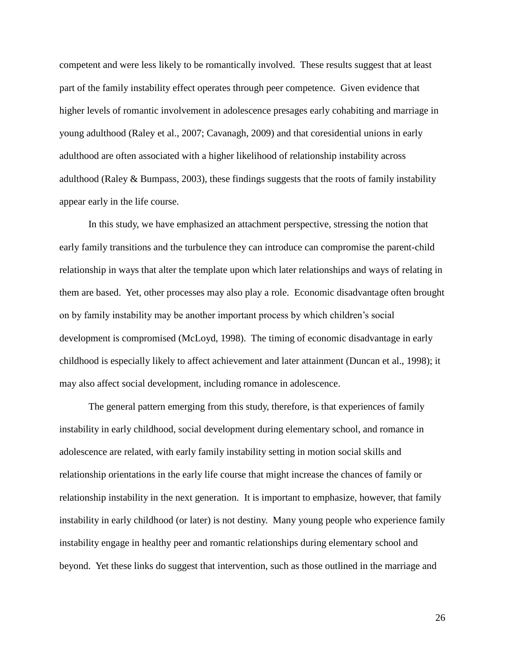competent and were less likely to be romantically involved. These results suggest that at least part of the family instability effect operates through peer competence. Given evidence that higher levels of romantic involvement in adolescence presages early cohabiting and marriage in young adulthood (Raley et al., 2007; Cavanagh, 2009) and that coresidential unions in early adulthood are often associated with a higher likelihood of relationship instability across adulthood (Raley & Bumpass, 2003), these findings suggests that the roots of family instability appear early in the life course.

In this study, we have emphasized an attachment perspective, stressing the notion that early family transitions and the turbulence they can introduce can compromise the parent-child relationship in ways that alter the template upon which later relationships and ways of relating in them are based. Yet, other processes may also play a role. Economic disadvantage often brought on by family instability may be another important process by which children's social development is compromised (McLoyd, 1998). The timing of economic disadvantage in early childhood is especially likely to affect achievement and later attainment (Duncan et al., 1998); it may also affect social development, including romance in adolescence.

The general pattern emerging from this study, therefore, is that experiences of family instability in early childhood, social development during elementary school, and romance in adolescence are related, with early family instability setting in motion social skills and relationship orientations in the early life course that might increase the chances of family or relationship instability in the next generation. It is important to emphasize, however, that family instability in early childhood (or later) is not destiny. Many young people who experience family instability engage in healthy peer and romantic relationships during elementary school and beyond. Yet these links do suggest that intervention, such as those outlined in the marriage and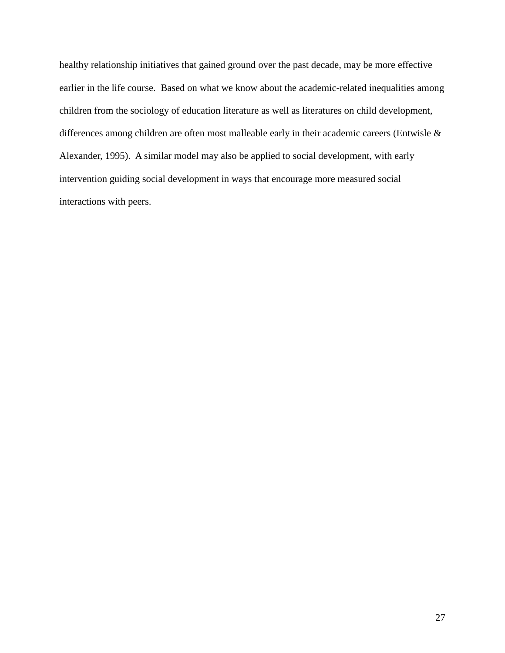healthy relationship initiatives that gained ground over the past decade, may be more effective earlier in the life course. Based on what we know about the academic-related inequalities among children from the sociology of education literature as well as literatures on child development, differences among children are often most malleable early in their academic careers (Entwisle & Alexander, 1995). A similar model may also be applied to social development, with early intervention guiding social development in ways that encourage more measured social interactions with peers.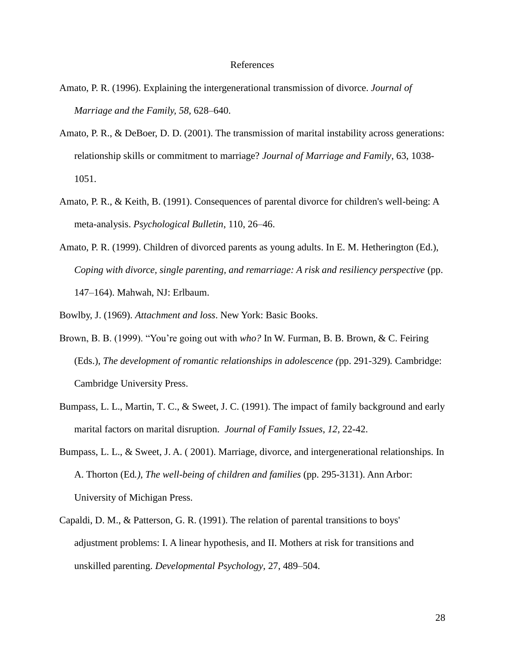#### References

- Amato, P. R. (1996). Explaining the intergenerational transmission of divorce. *Journal of Marriage and the Family, 58,* 628–640.
- Amato, P. R., & DeBoer, D. D. (2001). The transmission of marital instability across generations: relationship skills or commitment to marriage? *Journal of Marriage and Family*, 63, 1038- 1051.
- Amato, P. R., & Keith, B. (1991). Consequences of parental divorce for children's well-being: A meta-analysis. *Psychological Bulletin*, 110, 26–46.
- Amato, P. R. (1999). Children of divorced parents as young adults. In E. M. Hetherington (Ed.), *Coping with divorce, single parenting, and remarriage: A risk and resiliency perspective* (pp. 147–164). Mahwah, NJ: Erlbaum.

Bowlby, J. (1969). *Attachment and loss*. New York: Basic Books.

- Brown, B. B. (1999). "You're going out with *who?* In W. Furman, B. B. Brown, & C. Feiring (Eds.), *The development of romantic relationships in adolescence (*pp. 291-329)*.* Cambridge: Cambridge University Press.
- Bumpass, L. L., Martin, T. C., & Sweet, J. C. (1991). The impact of family background and early marital factors on marital disruption. *Journal of Family Issues*, *12,* 22-42.
- Bumpass, L. L., & Sweet, J. A. ( 2001). Marriage, divorce, and intergenerational relationships. In A. Thorton (Ed*.)*, *The well-being of children and families* (pp. 295-3131). Ann Arbor: University of Michigan Press.
- Capaldi, D. M., & Patterson, G. R. (1991). The relation of parental transitions to boys' adjustment problems: I. A linear hypothesis, and II. Mothers at risk for transitions and unskilled parenting. *Developmental Psychology*, 27, 489–504.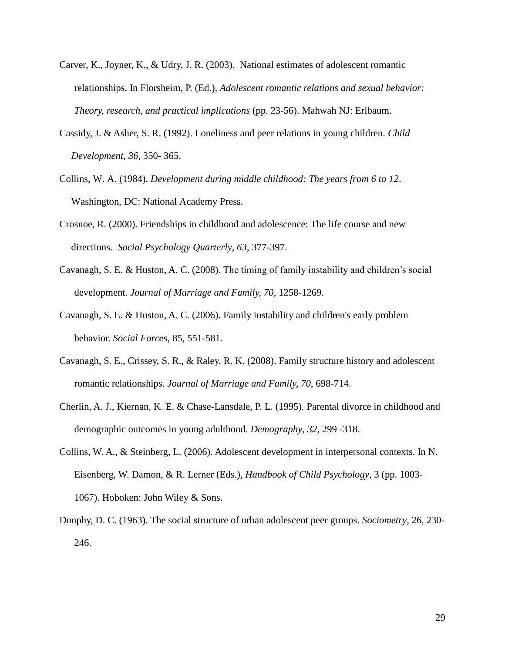- Carver, K., Joyner, K., & Udry, J. R. (2003). National estimates of adolescent romantic relationships. In Florsheim, P. (Ed.), *Adolescent romantic relations and sexual behavior: Theory, research, and practical implications* (pp. 23-56). Mahwah NJ: Erlbaum.
- Cassidy, J. & Asher, S. R. (1992). Loneliness and peer relations in young children. *Child Development, 36*, 350- 365.
- Collins, W. A. (1984). *Development during middle childhood: The years from 6 to 12*. Washington, DC: National Academy Press.
- Crosnoe, R. (2000). Friendships in childhood and adolescence: The life course and new directions. *Social Psychology Quarterly*, *63,* 377-397.
- Cavanagh, S. E. & Huston, A. C. (2008). The timing of family instability and children's social development. *Journal of Marriage and Family, 70,* 1258-1269.
- Cavanagh, S. E. & Huston, A. C. (2006). Family instability and children's early problem behavior. *Social Forces*, 85, 551-581.
- Cavanagh, S. E., Crissey, S. R., & Raley, R. K. (2008). Family structure history and adolescent romantic relationships. *Journal of Marriage and Family, 70,* 698-714.
- Cherlin, A. J., Kiernan, K. E. & Chase-Lansdale, P. L. (1995). Parental divorce in childhood and demographic outcomes in young adulthood. *Demography*, *32,* 299 -318.
- Collins, W. A., & Steinberg, L. (2006). Adolescent development in interpersonal contexts. In N. Eisenberg, W. Damon, & R. Lerner (Eds.), *Handbook of Child Psychology*, 3 (pp. 1003- 1067). Hoboken: John Wiley & Sons.
- Dunphy, D. C. (1963). The social structure of urban adolescent peer groups. *Sociometry*, 26, 230- 246.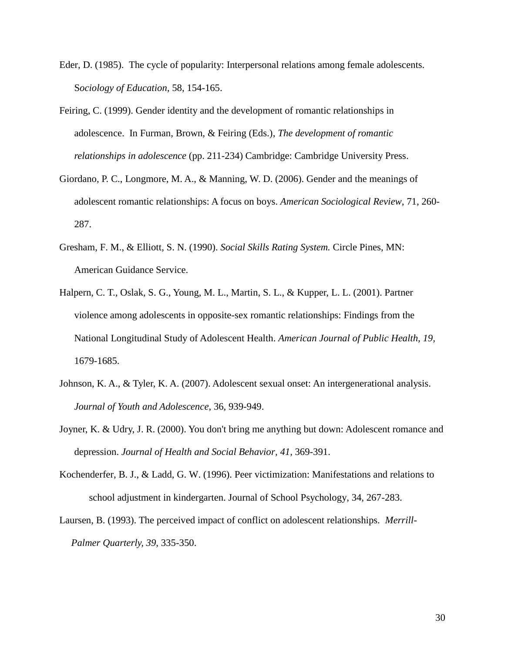- Eder, D. (1985). The cycle of popularity: Interpersonal relations among female adolescents. S*ociology of Education,* 58, 154-165.
- Feiring, C. (1999). Gender identity and the development of romantic relationships in adolescence. In Furman, Brown, & Feiring (Eds.), *The development of romantic relationships in adolescence* (pp. 211-234) Cambridge: Cambridge University Press.
- Giordano, P. C., Longmore, M. A., & Manning, W. D. (2006). Gender and the meanings of adolescent romantic relationships: A focus on boys. *American Sociological Review*, 71, 260- 287.
- Gresham, F. M., & Elliott, S. N. (1990). *Social Skills Rating System.* Circle Pines, MN: American Guidance Service.
- Halpern, C. T., Oslak, S. G., Young, M. L., Martin, S. L., & Kupper, L. L. (2001). Partner violence among adolescents in opposite-sex romantic relationships: Findings from the National Longitudinal Study of Adolescent Health. *American Journal of Public Health, 19,* 1679-1685.
- Johnson, K. A., & Tyler, K. A. (2007). Adolescent sexual onset: An intergenerational analysis. *Journal of Youth and Adolescence*, 36, 939-949.
- Joyner, K. & Udry, J. R. (2000). You don't bring me anything but down: Adolescent romance and depression. *Journal of Health and Social Behavior, 41,* 369-391.
- Kochenderfer, B. J., & Ladd, G. W. (1996). Peer victimization: Manifestations and relations to school adjustment in kindergarten. Journal of School Psychology, 34, 267-283.
- Laursen, B. (1993). The perceived impact of conflict on adolescent relationships. *Merrill-Palmer Quarterly, 39,* 335-350.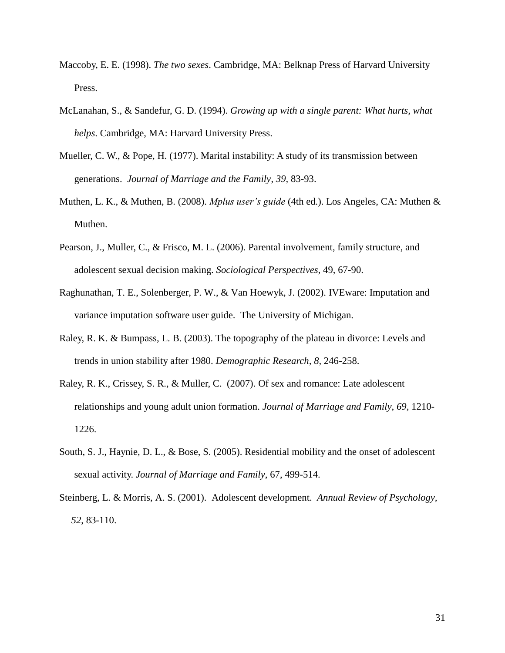- Maccoby, E. E. (1998). *The two sexes*. Cambridge, MA: Belknap Press of Harvard University Press.
- McLanahan, S., & Sandefur, G. D. (1994). *Growing up with a single parent: What hurts, what helps*. Cambridge, MA: Harvard University Press.
- [Mueller, C. W., & Pope, H. \(1977\). Marital instability: A study of its transmission between](http://links.jstor.org.content.lib.utexas.edu:2048/sici?sici=0022-2445%28197702%2939%3A1%3C83%3AMIASOI%3E2.0.CO%3B2-6)  [generations.](http://links.jstor.org.content.lib.utexas.edu:2048/sici?sici=0022-2445%28197702%2939%3A1%3C83%3AMIASOI%3E2.0.CO%3B2-6) *Journal of Marriage and the Family*, *39,* 83-93.
- Muthen, L. K., & Muthen, B. (2008). *Mplus user's guide* (4th ed.). Los Angeles, CA: Muthen & Muthen.
- Pearson, J., Muller, C., & Frisco, M. L. (2006). Parental involvement, family structure, and adolescent sexual decision making. *Sociological Perspectives*, 49, 67-90.
- Raghunathan, T. E., Solenberger, P. W., & Van Hoewyk, J. (2002). IVEware: Imputation and variance imputation software user guide. The University of Michigan.
- Raley, R. K. & Bumpass, L. B. (2003). The topography of the plateau in divorce: Levels and trends in union stability after 1980. *Demographic Research, 8,* 246-258.
- Raley, R. K., Crissey, S. R., & Muller, C. (2007). Of sex and romance: Late adolescent relationships and young adult union formation. *Journal of Marriage and Family*, *69,* 1210- 1226.
- South, S. J., Haynie, D. L., & Bose, S. (2005). Residential mobility and the onset of adolescent sexual activity. *Journal of Marriage and Family*, 67, 499-514.
- Steinberg, L. & Morris, A. S. (2001). Adolescent development. *Annual Review of Psychology, 52*, 83-110.